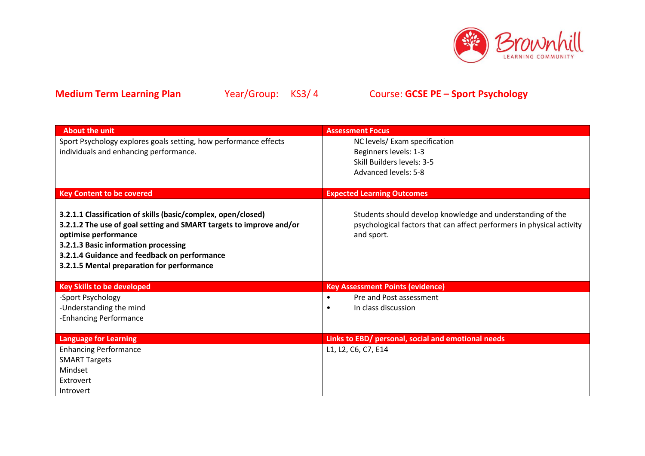

| <b>About the unit</b>                                                                                                                                                                                                                                                                              | <b>Assessment Focus</b>                                                                                                                           |
|----------------------------------------------------------------------------------------------------------------------------------------------------------------------------------------------------------------------------------------------------------------------------------------------------|---------------------------------------------------------------------------------------------------------------------------------------------------|
| Sport Psychology explores goals setting, how performance effects                                                                                                                                                                                                                                   | NC levels/ Exam specification                                                                                                                     |
| individuals and enhancing performance.                                                                                                                                                                                                                                                             | Beginners levels: 1-3                                                                                                                             |
|                                                                                                                                                                                                                                                                                                    | Skill Builders levels: 3-5                                                                                                                        |
|                                                                                                                                                                                                                                                                                                    | Advanced levels: 5-8                                                                                                                              |
|                                                                                                                                                                                                                                                                                                    |                                                                                                                                                   |
| <b>Key Content to be covered</b>                                                                                                                                                                                                                                                                   | <b>Expected Learning Outcomes</b>                                                                                                                 |
| 3.2.1.1 Classification of skills (basic/complex, open/closed)<br>3.2.1.2 The use of goal setting and SMART targets to improve and/or<br>optimise performance<br>3.2.1.3 Basic information processing<br>3.2.1.4 Guidance and feedback on performance<br>3.2.1.5 Mental preparation for performance | Students should develop knowledge and understanding of the<br>psychological factors that can affect performers in physical activity<br>and sport. |
| <b>Key Skills to be developed</b>                                                                                                                                                                                                                                                                  | <b>Key Assessment Points (evidence)</b>                                                                                                           |
| -Sport Psychology                                                                                                                                                                                                                                                                                  | Pre and Post assessment<br>$\bullet$                                                                                                              |
| -Understanding the mind                                                                                                                                                                                                                                                                            | In class discussion<br>$\bullet$                                                                                                                  |
| -Enhancing Performance                                                                                                                                                                                                                                                                             |                                                                                                                                                   |
|                                                                                                                                                                                                                                                                                                    |                                                                                                                                                   |
| <b>Language for Learning</b>                                                                                                                                                                                                                                                                       | Links to EBD/ personal, social and emotional needs                                                                                                |
| <b>Enhancing Performance</b>                                                                                                                                                                                                                                                                       | L1, L2, C6, C7, E14                                                                                                                               |
| <b>SMART Targets</b>                                                                                                                                                                                                                                                                               |                                                                                                                                                   |
| Mindset                                                                                                                                                                                                                                                                                            |                                                                                                                                                   |
| Extrovert                                                                                                                                                                                                                                                                                          |                                                                                                                                                   |
| Introvert                                                                                                                                                                                                                                                                                          |                                                                                                                                                   |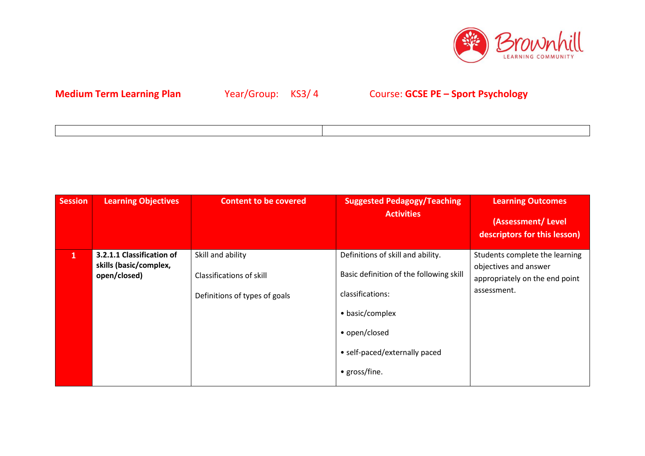

| ,一个人的人都是一个人的人,但是,我们的人都是一个人的人,我们的人都是一个人的人,我们的人都是一个人的人,我们的人都是一个人的人,我们的人都是一个人的人,我们的<br>第一百一十一章 一个人的人,我们的人都是一个人的人,我们的人都是一个人的人,我们的人都是一个人的人,我们的人都是一个人的人,我们的人都是一个人的人,我们的人都是 |  |
|----------------------------------------------------------------------------------------------------------------------------------------------------------------------|--|
|                                                                                                                                                                      |  |

| <b>Session</b> | <b>Learning Objectives</b>                                          | <b>Content to be covered</b>                                                   | <b>Suggested Pedagogy/Teaching</b><br><b>Activities</b>                                                                                                                                | <b>Learning Outcomes</b><br>(Assessment/Level<br>descriptors for this lesson)                            |
|----------------|---------------------------------------------------------------------|--------------------------------------------------------------------------------|----------------------------------------------------------------------------------------------------------------------------------------------------------------------------------------|----------------------------------------------------------------------------------------------------------|
| 1              | 3.2.1.1 Classification of<br>skills (basic/complex,<br>open/closed) | Skill and ability<br>Classifications of skill<br>Definitions of types of goals | Definitions of skill and ability.<br>Basic definition of the following skill<br>classifications:<br>• basic/complex<br>• open/closed<br>• self-paced/externally paced<br>• gross/fine. | Students complete the learning<br>objectives and answer<br>appropriately on the end point<br>assessment. |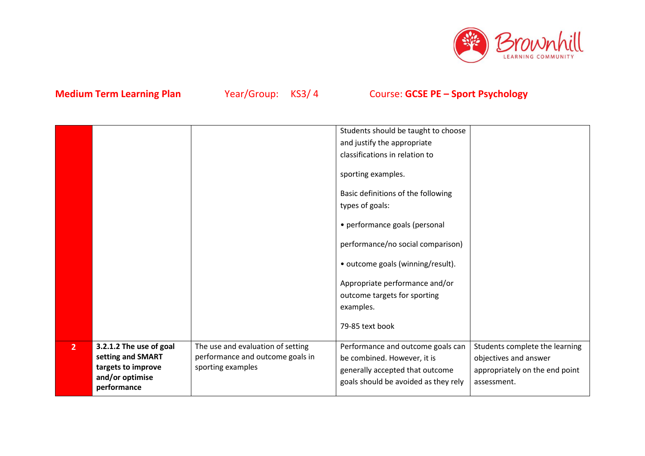

|                |                                                                                                      |                                                                                            | Students should be taught to choose<br>and justify the appropriate<br>classifications in relation to                                        |                                                                                                          |
|----------------|------------------------------------------------------------------------------------------------------|--------------------------------------------------------------------------------------------|---------------------------------------------------------------------------------------------------------------------------------------------|----------------------------------------------------------------------------------------------------------|
|                |                                                                                                      |                                                                                            | sporting examples.<br>Basic definitions of the following<br>types of goals:                                                                 |                                                                                                          |
|                |                                                                                                      |                                                                                            | • performance goals (personal<br>performance/no social comparison)<br>• outcome goals (winning/result).                                     |                                                                                                          |
|                |                                                                                                      |                                                                                            | Appropriate performance and/or<br>outcome targets for sporting<br>examples.                                                                 |                                                                                                          |
|                |                                                                                                      |                                                                                            | 79-85 text book                                                                                                                             |                                                                                                          |
| 2 <sup>1</sup> | 3.2.1.2 The use of goal<br>setting and SMART<br>targets to improve<br>and/or optimise<br>performance | The use and evaluation of setting<br>performance and outcome goals in<br>sporting examples | Performance and outcome goals can<br>be combined. However, it is<br>generally accepted that outcome<br>goals should be avoided as they rely | Students complete the learning<br>objectives and answer<br>appropriately on the end point<br>assessment. |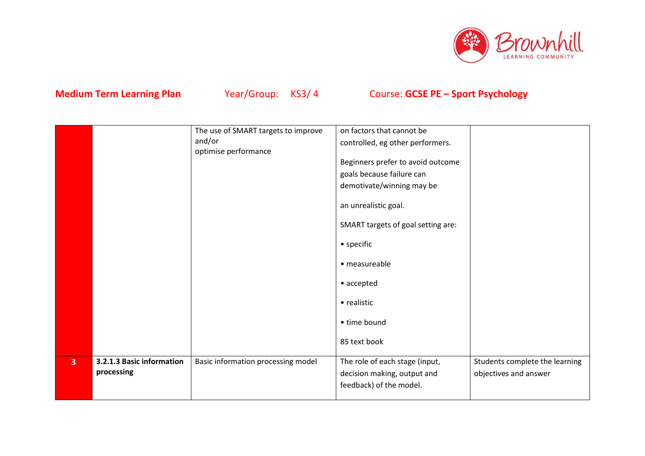

|                |                           | The use of SMART targets to improve | on factors that cannot be          |                                |
|----------------|---------------------------|-------------------------------------|------------------------------------|--------------------------------|
|                |                           | and/or                              | controlled, eg other performers.   |                                |
|                |                           | optimise performance                |                                    |                                |
|                |                           |                                     | Beginners prefer to avoid outcome  |                                |
|                |                           |                                     | goals because failure can          |                                |
|                |                           |                                     | demotivate/winning may be          |                                |
|                |                           |                                     | an unrealistic goal.               |                                |
|                |                           |                                     | SMART targets of goal setting are: |                                |
|                |                           |                                     | • specific                         |                                |
|                |                           |                                     | • measureable                      |                                |
|                |                           |                                     | • accepted                         |                                |
|                |                           |                                     | • realistic                        |                                |
|                |                           |                                     | • time bound                       |                                |
|                |                           |                                     | 85 text book                       |                                |
| $\overline{3}$ | 3.2.1.3 Basic information | Basic information processing model  | The role of each stage (input,     | Students complete the learning |
|                | processing                |                                     | decision making, output and        | objectives and answer          |
|                |                           |                                     | feedback) of the model.            |                                |
|                |                           |                                     |                                    |                                |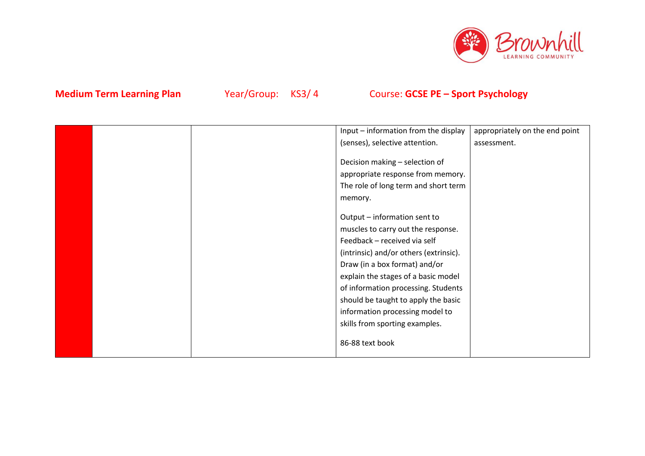

|  | Input - information from the display   | appropriately on the end point |
|--|----------------------------------------|--------------------------------|
|  | (senses), selective attention.         | assessment.                    |
|  |                                        |                                |
|  | Decision making - selection of         |                                |
|  | appropriate response from memory.      |                                |
|  | The role of long term and short term   |                                |
|  | memory.                                |                                |
|  |                                        |                                |
|  | Output - information sent to           |                                |
|  | muscles to carry out the response.     |                                |
|  | Feedback - received via self           |                                |
|  | (intrinsic) and/or others (extrinsic). |                                |
|  | Draw (in a box format) and/or          |                                |
|  | explain the stages of a basic model    |                                |
|  | of information processing. Students    |                                |
|  | should be taught to apply the basic    |                                |
|  | information processing model to        |                                |
|  | skills from sporting examples.         |                                |
|  | 86-88 text book                        |                                |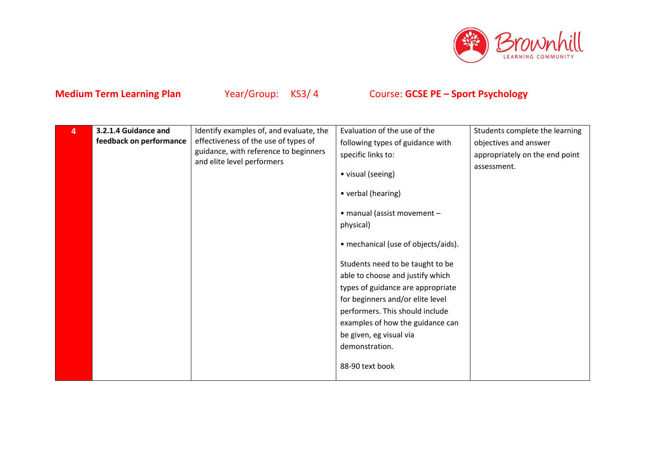

| 4 | 3.2.1.4 Guidance and    | Identify examples of, and evaluate, the | Evaluation of the use of the        | Students complete the learning |
|---|-------------------------|-----------------------------------------|-------------------------------------|--------------------------------|
|   | feedback on performance | effectiveness of the use of types of    | following types of guidance with    | objectives and answer          |
|   |                         | guidance, with reference to beginners   | specific links to:                  | appropriately on the end point |
|   |                         | and elite level performers              |                                     | assessment.                    |
|   |                         |                                         | • visual (seeing)                   |                                |
|   |                         |                                         | • verbal (hearing)                  |                                |
|   |                         |                                         | • manual (assist movement -         |                                |
|   |                         |                                         | physical)                           |                                |
|   |                         |                                         |                                     |                                |
|   |                         |                                         | • mechanical (use of objects/aids). |                                |
|   |                         |                                         | Students need to be taught to be    |                                |
|   |                         |                                         | able to choose and justify which    |                                |
|   |                         |                                         | types of guidance are appropriate   |                                |
|   |                         |                                         | for beginners and/or elite level    |                                |
|   |                         |                                         | performers. This should include     |                                |
|   |                         |                                         | examples of how the guidance can    |                                |
|   |                         |                                         | be given, eg visual via             |                                |
|   |                         |                                         | demonstration.                      |                                |
|   |                         |                                         | 88-90 text book                     |                                |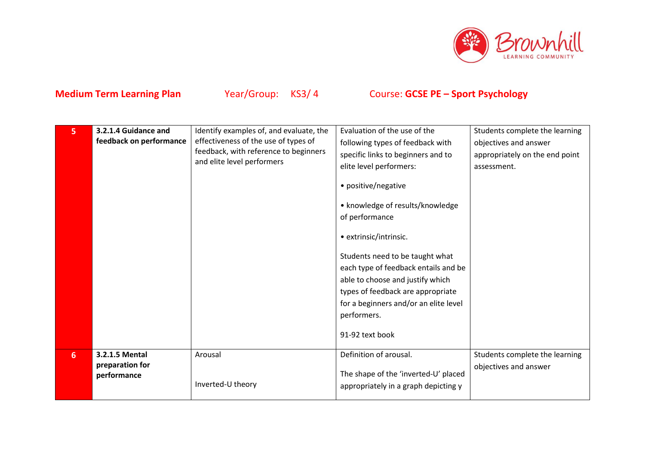

| 5 | 3.2.1.4 Guidance and<br>feedback on performance  | Identify examples of, and evaluate, the<br>effectiveness of the use of types of<br>feedback, with reference to beginners<br>and elite level performers | Evaluation of the use of the<br>following types of feedback with<br>specific links to beginners and to<br>elite level performers:<br>• positive/negative<br>• knowledge of results/knowledge<br>of performance<br>• extrinsic/intrinsic.<br>Students need to be taught what<br>each type of feedback entails and be<br>able to choose and justify which<br>types of feedback are appropriate<br>for a beginners and/or an elite level<br>performers.<br>91-92 text book | Students complete the learning<br>objectives and answer<br>appropriately on the end point<br>assessment. |
|---|--------------------------------------------------|--------------------------------------------------------------------------------------------------------------------------------------------------------|-------------------------------------------------------------------------------------------------------------------------------------------------------------------------------------------------------------------------------------------------------------------------------------------------------------------------------------------------------------------------------------------------------------------------------------------------------------------------|----------------------------------------------------------------------------------------------------------|
| 6 | 3.2.1.5 Mental<br>preparation for<br>performance | Arousal<br>Inverted-U theory                                                                                                                           | Definition of arousal.<br>The shape of the 'inverted-U' placed<br>appropriately in a graph depicting y                                                                                                                                                                                                                                                                                                                                                                  | Students complete the learning<br>objectives and answer                                                  |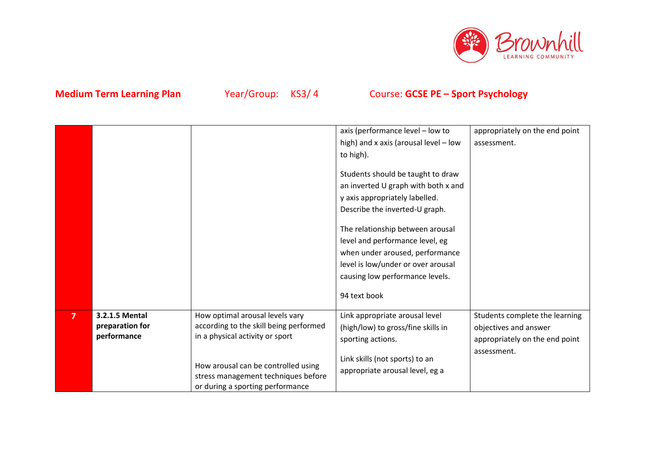

|                |                                                  |                                                                                                                | axis (performance level - low to                                                                                                                                                                                                                                                                                                | appropriately on the end point                                                            |
|----------------|--------------------------------------------------|----------------------------------------------------------------------------------------------------------------|---------------------------------------------------------------------------------------------------------------------------------------------------------------------------------------------------------------------------------------------------------------------------------------------------------------------------------|-------------------------------------------------------------------------------------------|
|                |                                                  |                                                                                                                | high) and x axis (arousal level - low                                                                                                                                                                                                                                                                                           | assessment.                                                                               |
|                |                                                  |                                                                                                                | to high).                                                                                                                                                                                                                                                                                                                       |                                                                                           |
|                |                                                  |                                                                                                                | Students should be taught to draw<br>an inverted U graph with both x and<br>y axis appropriately labelled.<br>Describe the inverted-U graph.<br>The relationship between arousal<br>level and performance level, eg<br>when under aroused, performance<br>level is low/under or over arousal<br>causing low performance levels. |                                                                                           |
|                |                                                  |                                                                                                                | 94 text book                                                                                                                                                                                                                                                                                                                    |                                                                                           |
| $\overline{7}$ | 3.2.1.5 Mental<br>preparation for<br>performance | How optimal arousal levels vary<br>according to the skill being performed<br>in a physical activity or sport   | Link appropriate arousal level<br>(high/low) to gross/fine skills in<br>sporting actions.                                                                                                                                                                                                                                       | Students complete the learning<br>objectives and answer<br>appropriately on the end point |
|                |                                                  | How arousal can be controlled using<br>stress management techniques before<br>or during a sporting performance | Link skills (not sports) to an<br>appropriate arousal level, eg a                                                                                                                                                                                                                                                               | assessment.                                                                               |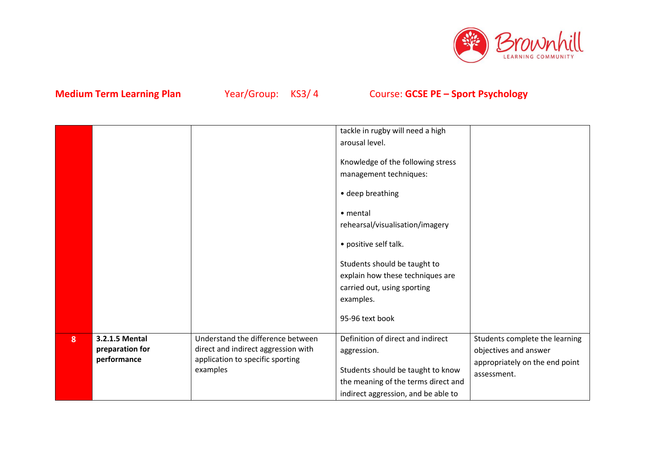

|                |                                                  |                                                                                                                          | tackle in rugby will need a high<br>arousal level.<br>Knowledge of the following stress<br>management techniques:<br>• deep breathing<br>• mental<br>rehearsal/visualisation/imagery<br>• positive self talk.<br>Students should be taught to<br>explain how these techniques are<br>carried out, using sporting<br>examples.<br>95-96 text book |                                                                                                          |
|----------------|--------------------------------------------------|--------------------------------------------------------------------------------------------------------------------------|--------------------------------------------------------------------------------------------------------------------------------------------------------------------------------------------------------------------------------------------------------------------------------------------------------------------------------------------------|----------------------------------------------------------------------------------------------------------|
| 8 <sup>2</sup> | 3.2.1.5 Mental<br>preparation for<br>performance | Understand the difference between<br>direct and indirect aggression with<br>application to specific sporting<br>examples | Definition of direct and indirect<br>aggression.<br>Students should be taught to know<br>the meaning of the terms direct and<br>indirect aggression, and be able to                                                                                                                                                                              | Students complete the learning<br>objectives and answer<br>appropriately on the end point<br>assessment. |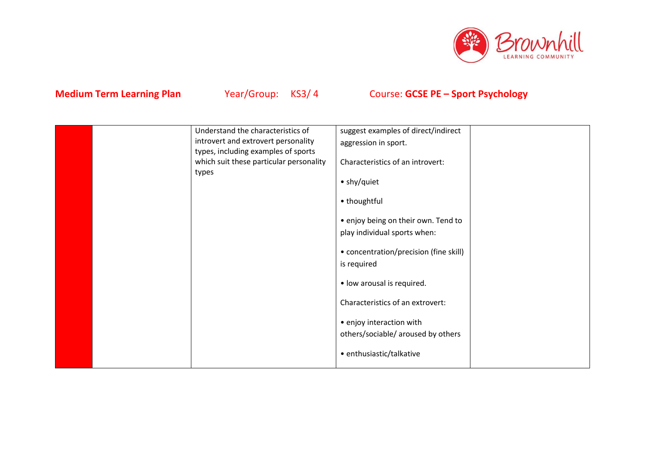

|  | Understand the characteristics of       | suggest examples of direct/indirect    |  |
|--|-----------------------------------------|----------------------------------------|--|
|  | introvert and extrovert personality     | aggression in sport.                   |  |
|  | types, including examples of sports     |                                        |  |
|  | which suit these particular personality | Characteristics of an introvert:       |  |
|  | types                                   | • shy/quiet                            |  |
|  |                                         |                                        |  |
|  |                                         | • thoughtful                           |  |
|  |                                         | • enjoy being on their own. Tend to    |  |
|  |                                         | play individual sports when:           |  |
|  |                                         |                                        |  |
|  |                                         | • concentration/precision (fine skill) |  |
|  |                                         | is required                            |  |
|  |                                         |                                        |  |
|  |                                         | • low arousal is required.             |  |
|  |                                         | Characteristics of an extrovert:       |  |
|  |                                         | • enjoy interaction with               |  |
|  |                                         | others/sociable/ aroused by others     |  |
|  |                                         |                                        |  |
|  |                                         | • enthusiastic/talkative               |  |
|  |                                         |                                        |  |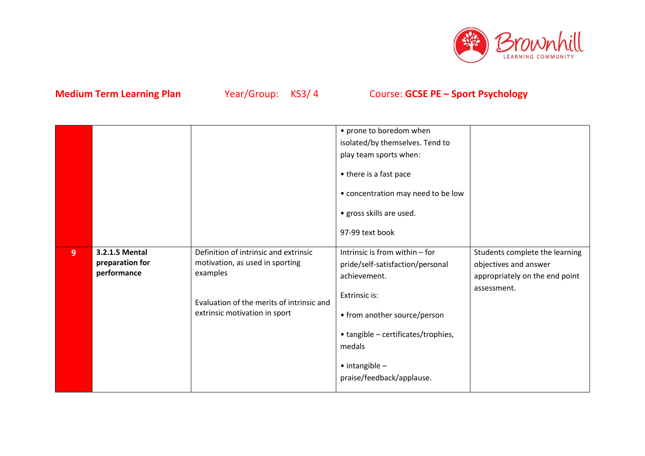

|   |                                                  |                                                                                                                                                                    | • prone to boredom when<br>isolated/by themselves. Tend to<br>play team sports when:<br>• there is a fast pace<br>• concentration may need to be low<br>· gross skills are used.<br>97-99 text book                                         |                                                                                                          |
|---|--------------------------------------------------|--------------------------------------------------------------------------------------------------------------------------------------------------------------------|---------------------------------------------------------------------------------------------------------------------------------------------------------------------------------------------------------------------------------------------|----------------------------------------------------------------------------------------------------------|
| 9 | 3.2.1.5 Mental<br>preparation for<br>performance | Definition of intrinsic and extrinsic<br>motivation, as used in sporting<br>examples<br>Evaluation of the merits of intrinsic and<br>extrinsic motivation in sport | Intrinsic is from within - for<br>pride/self-satisfaction/personal<br>achievement.<br>Extrinsic is:<br>• from another source/person<br>• tangible - certificates/trophies,<br>medals<br>$\bullet$ intangible -<br>praise/feedback/applause. | Students complete the learning<br>objectives and answer<br>appropriately on the end point<br>assessment. |